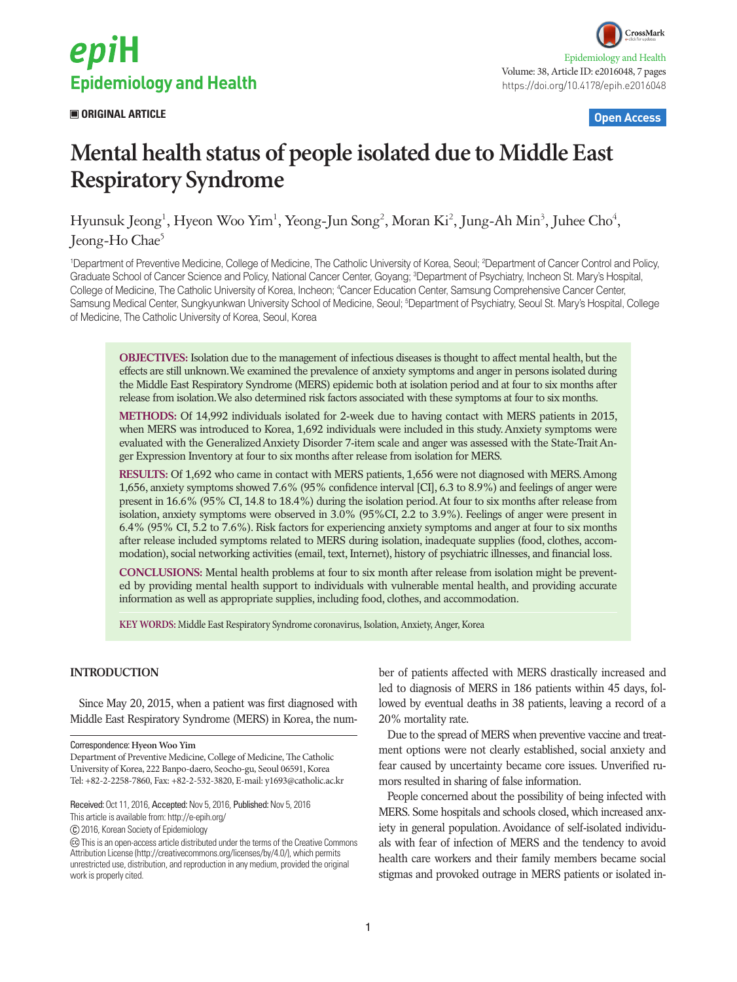

CrossMark Epidemiology and Health Volume: 38, Article ID: e2016048, 7 pages https://doi.org/10.4178/epih.e2016048

 **ORIGINAL ARTICLE Open Access**

# **Mental health status of people isolated due to Middle East Respiratory Syndrome**

Hyunsuk Jeong<sup>1</sup>, Hyeon Woo Yim<sup>1</sup>, Yeong-Jun Song<sup>2</sup>, Moran Ki<sup>2</sup>, Jung-Ah Min<sup>3</sup>, Juhee Cho<sup>4</sup>, Jeong-Ho Chae<sup>5</sup>

<sup>1</sup>Department of Preventive Medicine, College of Medicine, The Catholic University of Korea, Seoul; <sup>2</sup>Department of Cancer Control and Policy, Graduate School of Cancer Science and Policy, National Cancer Center, Goyang; 3 Department of Psychiatry, Incheon St. Mary's Hospital, College of Medicine, The Catholic University of Korea, Incheon; <sup>4</sup>Cancer Education Center, Samsung Comprehensive Cancer Center, Samsung Medical Center, Sungkyunkwan University School of Medicine, Seoul; <sup>5</sup>Department of Psychiatry, Seoul St. Mary's Hospital, College of Medicine, The Catholic University of Korea, Seoul, Korea

**OBJECTIVES:** Isolation due to the management of infectious diseases is thought to affect mental health, but the effects are still unknown. We examined the prevalence of anxiety symptoms and anger in persons isolated during the Middle East Respiratory Syndrome (MERS) epidemic both at isolation period and at four to six months after release from isolation. We also determined risk factors associated with these symptoms at four to six months.

**METHODS:** Of 14,992 individuals isolated for 2-week due to having contact with MERS patients in 2015, when MERS was introduced to Korea, 1,692 individuals were included in this study. Anxiety symptoms were evaluated with the Generalized Anxiety Disorder 7-item scale and anger was assessed with the State-Trait Anger Expression Inventory at four to six months after release from isolation for MERS.

**RESULTS:** Of 1,692 who came in contact with MERS patients, 1,656 were not diagnosed with MERS. Among 1,656, anxiety symptoms showed 7.6% (95% confidence interval [CI], 6.3 to 8.9%) and feelings of anger were present in 16.6% (95% CI, 14.8 to 18.4%) during the isolation period. At four to six months after release from isolation, anxiety symptoms were observed in 3.0% (95%CI, 2.2 to 3.9%). Feelings of anger were present in 6.4% (95% CI, 5.2 to 7.6%). Risk factors for experiencing anxiety symptoms and anger at four to six months after release included symptoms related to MERS during isolation, inadequate supplies (food, clothes, accommodation), social networking activities (email, text, Internet), history of psychiatric illnesses, and financial loss.

**CONCLUSIONS:** Mental health problems at four to six month after release from isolation might be prevented by providing mental health support to individuals with vulnerable mental health, and providing accurate information as well as appropriate supplies, including food, clothes, and accommodation.

**KEY WORDS:** Middle East Respiratory Syndrome coronavirus, Isolation, Anxiety, Anger, Korea

# **INTRODUCTION**

Since May 20, 2015, when a patient was first diagnosed with Middle East Respiratory Syndrome (MERS) in Korea, the num-

Correspondence: **Hyeon Woo Yim**

Department of Preventive Medicine, College of Medicine, The Catholic University of Korea, 222 Banpo-daero, Seocho-gu, Seoul 06591, Korea Tel: +82-2-2258-7860, Fax: +82-2-532-3820, E-mail: y1693@catholic.ac.kr

Received: Oct 11, 2016, Accepted: Nov 5, 2016, Published: Nov 5, 2016 This article is available from: http://e-epih.org/

2016, Korean Society of Epidemiology

ber of patients affected with MERS drastically increased and led to diagnosis of MERS in 186 patients within 45 days, followed by eventual deaths in 38 patients, leaving a record of a 20% mortality rate.

Due to the spread of MERS when preventive vaccine and treatment options were not clearly established, social anxiety and fear caused by uncertainty became core issues. Unverified rumors resulted in sharing of false information.

People concerned about the possibility of being infected with MERS. Some hospitals and schools closed, which increased anxiety in general population. Avoidance of self-isolated individuals with fear of infection of MERS and the tendency to avoid health care workers and their family members became social stigmas and provoked outrage in MERS patients or isolated in-

This is an open-access article distributed under the terms of the Creative Commons Attribution License (http://creativecommons.org/licenses/by/4.0/), which permits unrestricted use, distribution, and reproduction in any medium, provided the original work is properly cited.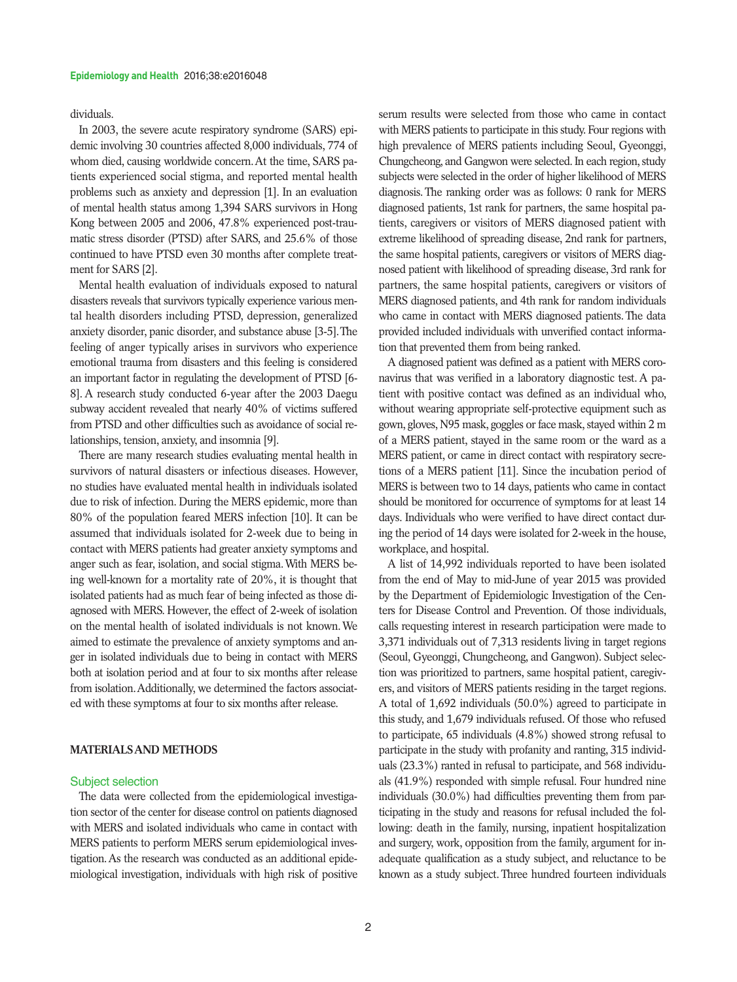dividuals.

In 2003, the severe acute respiratory syndrome (SARS) epidemic involving 30 countries affected 8,000 individuals, 774 of whom died, causing worldwide concern. At the time, SARS patients experienced social stigma, and reported mental health problems such as anxiety and depression [1]. In an evaluation of mental health status among 1,394 SARS survivors in Hong Kong between 2005 and 2006, 47.8% experienced post-traumatic stress disorder (PTSD) after SARS, and 25.6% of those continued to have PTSD even 30 months after complete treatment for SARS [2].

Mental health evaluation of individuals exposed to natural disasters reveals that survivors typically experience various mental health disorders including PTSD, depression, generalized anxiety disorder, panic disorder, and substance abuse [3-5]. The feeling of anger typically arises in survivors who experience emotional trauma from disasters and this feeling is considered an important factor in regulating the development of PTSD [6- 8]. A research study conducted 6-year after the 2003 Daegu subway accident revealed that nearly 40% of victims suffered from PTSD and other difficulties such as avoidance of social relationships, tension, anxiety, and insomnia [9].

There are many research studies evaluating mental health in survivors of natural disasters or infectious diseases. However, no studies have evaluated mental health in individuals isolated due to risk of infection. During the MERS epidemic, more than 80% of the population feared MERS infection [10]. It can be assumed that individuals isolated for 2-week due to being in contact with MERS patients had greater anxiety symptoms and anger such as fear, isolation, and social stigma. With MERS being well-known for a mortality rate of 20%, it is thought that isolated patients had as much fear of being infected as those diagnosed with MERS. However, the effect of 2-week of isolation on the mental health of isolated individuals is not known. We aimed to estimate the prevalence of anxiety symptoms and anger in isolated individuals due to being in contact with MERS both at isolation period and at four to six months after release from isolation. Additionally, we determined the factors associated with these symptoms at four to six months after release.

## **MATERIALS AND METHODS**

#### Subject selection

The data were collected from the epidemiological investigation sector of the center for disease control on patients diagnosed with MERS and isolated individuals who came in contact with MERS patients to perform MERS serum epidemiological investigation. As the research was conducted as an additional epidemiological investigation, individuals with high risk of positive serum results were selected from those who came in contact with MERS patients to participate in this study. Four regions with high prevalence of MERS patients including Seoul, Gyeonggi, Chungcheong, and Gangwon were selected. In each region, study subjects were selected in the order of higher likelihood of MERS diagnosis. The ranking order was as follows: 0 rank for MERS diagnosed patients, 1st rank for partners, the same hospital patients, caregivers or visitors of MERS diagnosed patient with extreme likelihood of spreading disease, 2nd rank for partners, the same hospital patients, caregivers or visitors of MERS diagnosed patient with likelihood of spreading disease, 3rd rank for partners, the same hospital patients, caregivers or visitors of MERS diagnosed patients, and 4th rank for random individuals who came in contact with MERS diagnosed patients. The data provided included individuals with unverified contact information that prevented them from being ranked.

A diagnosed patient was defined as a patient with MERS coronavirus that was verified in a laboratory diagnostic test. A patient with positive contact was defined as an individual who, without wearing appropriate self-protective equipment such as gown, gloves, N95 mask, goggles or face mask, stayed within 2 m of a MERS patient, stayed in the same room or the ward as a MERS patient, or came in direct contact with respiratory secretions of a MERS patient [11]. Since the incubation period of MERS is between two to 14 days, patients who came in contact should be monitored for occurrence of symptoms for at least 14 days. Individuals who were verified to have direct contact during the period of 14 days were isolated for 2-week in the house, workplace, and hospital.

A list of 14,992 individuals reported to have been isolated from the end of May to mid-June of year 2015 was provided by the Department of Epidemiologic Investigation of the Centers for Disease Control and Prevention. Of those individuals, calls requesting interest in research participation were made to 3,371 individuals out of 7,313 residents living in target regions (Seoul, Gyeonggi, Chungcheong, and Gangwon). Subject selection was prioritized to partners, same hospital patient, caregivers, and visitors of MERS patients residing in the target regions. A total of 1,692 individuals (50.0%) agreed to participate in this study, and 1,679 individuals refused. Of those who refused to participate, 65 individuals (4.8%) showed strong refusal to participate in the study with profanity and ranting, 315 individuals (23.3%) ranted in refusal to participate, and 568 individuals (41.9%) responded with simple refusal. Four hundred nine individuals (30.0%) had difficulties preventing them from participating in the study and reasons for refusal included the following: death in the family, nursing, inpatient hospitalization and surgery, work, opposition from the family, argument for inadequate qualification as a study subject, and reluctance to be known as a study subject. Three hundred fourteen individuals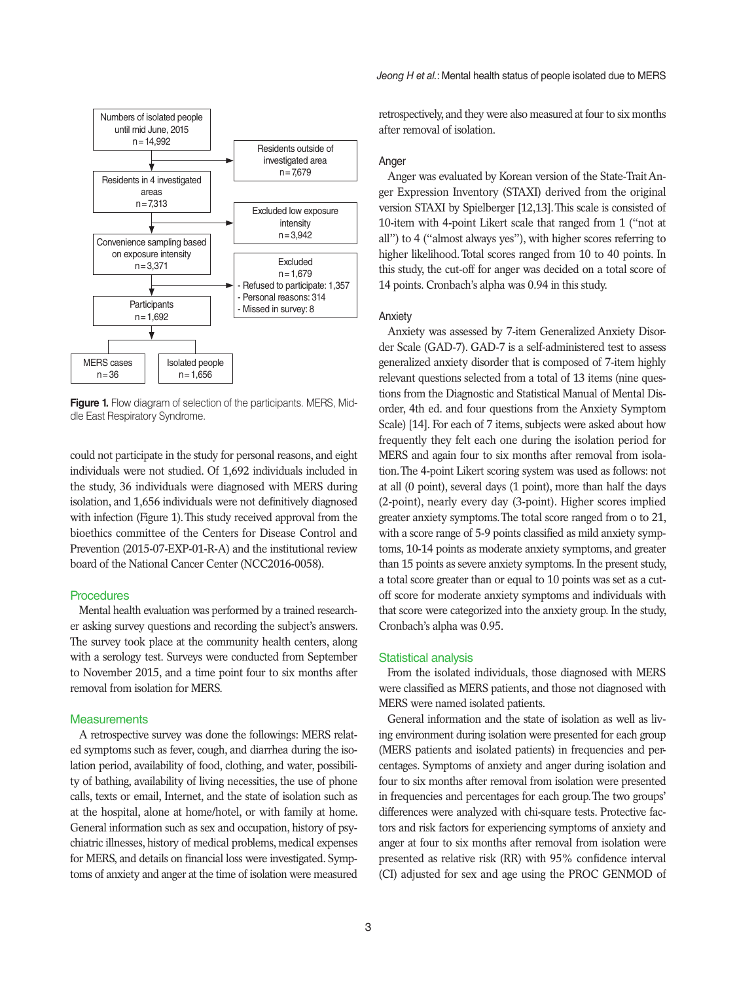

**Figure 1.** Flow diagram of selection of the participants. MERS, Middle East Respiratory Syndrome.

could not participate in the study for personal reasons, and eight individuals were not studied. Of 1,692 individuals included in the study, 36 individuals were diagnosed with MERS during isolation, and 1,656 individuals were not definitively diagnosed with infection (Figure 1). This study received approval from the bioethics committee of the Centers for Disease Control and Prevention (2015-07-EXP-01-R-A) and the institutional review board of the National Cancer Center (NCC2016-0058).

#### **Procedures**

Mental health evaluation was performed by a trained researcher asking survey questions and recording the subject's answers. The survey took place at the community health centers, along with a serology test. Surveys were conducted from September to November 2015, and a time point four to six months after removal from isolation for MERS.

#### **Measurements**

A retrospective survey was done the followings: MERS related symptoms such as fever, cough, and diarrhea during the isolation period, availability of food, clothing, and water, possibility of bathing, availability of living necessities, the use of phone calls, texts or email, Internet, and the state of isolation such as at the hospital, alone at home/hotel, or with family at home. General information such as sex and occupation, history of psychiatric illnesses, history of medical problems, medical expenses for MERS, and details on financial loss were investigated. Symptoms of anxiety and anger at the time of isolation were measured retrospectively, and they were also measured at four to six months after removal of isolation.

### Anger

Anger was evaluated by Korean version of the State-Trait Anger Expression Inventory (STAXI) derived from the original version STAXI by Spielberger [12,13]. This scale is consisted of 10-item with 4-point Likert scale that ranged from 1 ("not at all") to 4 ("almost always yes"), with higher scores referring to higher likelihood. Total scores ranged from 10 to 40 points. In this study, the cut-off for anger was decided on a total score of 14 points. Cronbach's alpha was 0.94 in this study.

#### Anxiety

Anxiety was assessed by 7-item Generalized Anxiety Disorder Scale (GAD-7). GAD-7 is a self-administered test to assess generalized anxiety disorder that is composed of 7-item highly relevant questions selected from a total of 13 items (nine questions from the Diagnostic and Statistical Manual of Mental Disorder, 4th ed. and four questions from the Anxiety Symptom Scale) [14]. For each of 7 items, subjects were asked about how frequently they felt each one during the isolation period for MERS and again four to six months after removal from isolation. The 4-point Likert scoring system was used as follows: not at all (0 point), several days (1 point), more than half the days (2-point), nearly every day (3-point). Higher scores implied greater anxiety symptoms. The total score ranged from o to 21, with a score range of 5-9 points classified as mild anxiety symptoms, 10-14 points as moderate anxiety symptoms, and greater than 15 points as severe anxiety symptoms. In the present study, a total score greater than or equal to 10 points was set as a cutoff score for moderate anxiety symptoms and individuals with that score were categorized into the anxiety group. In the study, Cronbach's alpha was 0.95.

#### Statistical analysis

From the isolated individuals, those diagnosed with MERS were classified as MERS patients, and those not diagnosed with MERS were named isolated patients.

General information and the state of isolation as well as living environment during isolation were presented for each group (MERS patients and isolated patients) in frequencies and percentages. Symptoms of anxiety and anger during isolation and four to six months after removal from isolation were presented in frequencies and percentages for each group. The two groups' differences were analyzed with chi-square tests. Protective factors and risk factors for experiencing symptoms of anxiety and anger at four to six months after removal from isolation were presented as relative risk (RR) with 95% confidence interval (CI) adjusted for sex and age using the PROC GENMOD of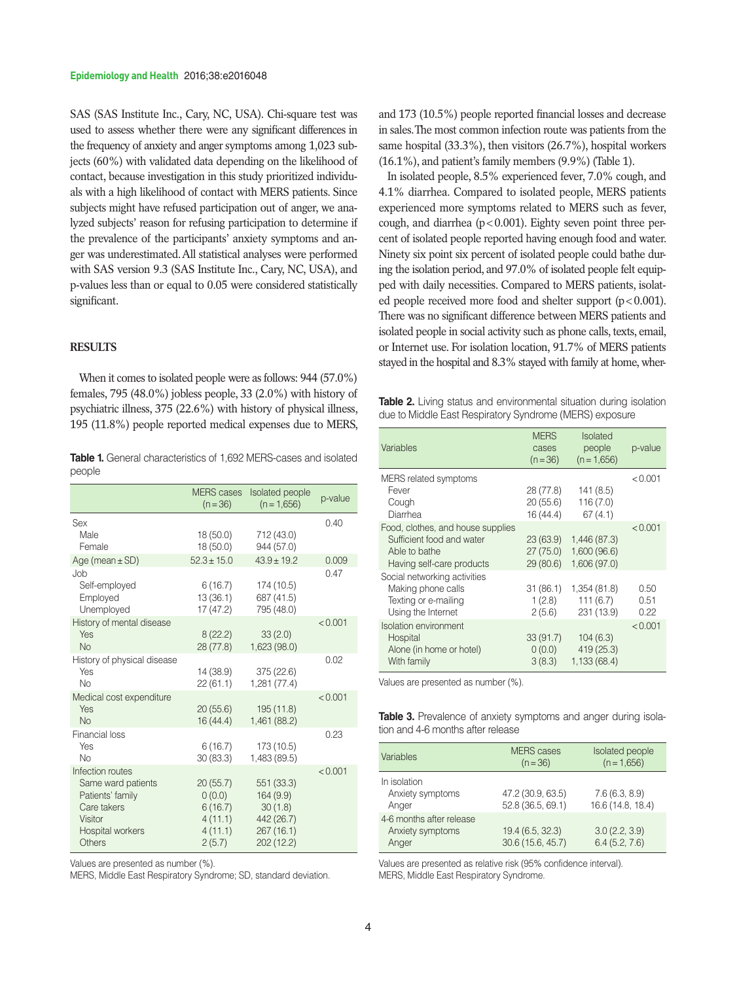SAS (SAS Institute Inc., Cary, NC, USA). Chi-square test was used to assess whether there were any significant differences in the frequency of anxiety and anger symptoms among 1,023 subjects (60%) with validated data depending on the likelihood of contact, because investigation in this study prioritized individuals with a high likelihood of contact with MERS patients. Since subjects might have refused participation out of anger, we analyzed subjects' reason for refusing participation to determine if the prevalence of the participants' anxiety symptoms and anger was underestimated. All statistical analyses were performed with SAS version 9.3 (SAS Institute Inc., Cary, NC, USA), and p-values less than or equal to 0.05 were considered statistically significant.

# **RESULTS**

When it comes to isolated people were as follows: 944 (57.0%) females, 795 (48.0%) jobless people, 33 (2.0%) with history of psychiatric illness, 375 (22.6%) with history of physical illness, 195 (11.8%) people reported medical expenses due to MERS,

|        |  | <b>Table 1.</b> General characteristics of 1.692 MERS-cases and isolated |  |  |  |  |
|--------|--|--------------------------------------------------------------------------|--|--|--|--|
| people |  |                                                                          |  |  |  |  |

|                                                                                                                                  | <b>MERS</b> cases<br>$(n=36)$                                 | Isolated people<br>$(n = 1,656)$                                           | p-value |
|----------------------------------------------------------------------------------------------------------------------------------|---------------------------------------------------------------|----------------------------------------------------------------------------|---------|
| Sex<br>Male<br>Female                                                                                                            | 18 (50.0)<br>18(50.0)                                         | 712 (43.0)<br>944 (57.0)                                                   | 0.40    |
| Age (mean $\pm$ SD)                                                                                                              | $52.3 \pm 15.0$                                               | $43.9 \pm 19.2$                                                            | 0.009   |
| <b>Job</b><br>Self-employed<br>Employed<br>Unemployed                                                                            | 6(16.7)<br>13(36.1)<br>17 (47.2)                              | 174 (10.5)<br>687 (41.5)<br>795 (48.0)                                     | 0.47    |
| History of mental disease<br>Yes<br><b>No</b>                                                                                    | 8(22.2)<br>28 (77.8)                                          | 33(2.0)<br>1,623 (98.0)                                                    | < 0.001 |
| History of physical disease<br>Yes<br>No                                                                                         | 14 (38.9)<br>22(61.1)                                         | 375 (22.6)<br>1,281 (77.4)                                                 | 0.02    |
| Medical cost expenditure<br>Yes<br><b>No</b>                                                                                     | 20(55.6)<br>16(44.4)                                          | 195 (11.8)<br>1,461 (88.2)                                                 | < 0.001 |
| Financial loss<br>Yes<br>No                                                                                                      | 6(16.7)<br>30(83.3)                                           | 173 (10.5)<br>1,483 (89.5)                                                 | 0.23    |
| Infection routes<br>Same ward patients<br>Patients' family<br>Care takers<br>Visitor<br><b>Hospital workers</b><br><b>Others</b> | 20(55.7)<br>0(0.0)<br>6(16.7)<br>4(11.1)<br>4(11.1)<br>2(5.7) | 551 (33.3)<br>164(9.9)<br>30(1.8)<br>442 (26.7)<br>267(16.1)<br>202 (12.2) | < 0.001 |

Values are presented as number (%).

MERS, Middle East Respiratory Syndrome; SD, standard deviation.

and 173 (10.5%) people reported financial losses and decrease in sales. The most common infection route was patients from the same hospital (33.3%), then visitors (26.7%), hospital workers (16.1%), and patient's family members (9.9%) (Table 1).

In isolated people, 8.5% experienced fever, 7.0% cough, and 4.1% diarrhea. Compared to isolated people, MERS patients experienced more symptoms related to MERS such as fever, cough, and diarrhea ( $p < 0.001$ ). Eighty seven point three percent of isolated people reported having enough food and water. Ninety six point six percent of isolated people could bathe during the isolation period, and 97.0% of isolated people felt equipped with daily necessities. Compared to MERS patients, isolated people received more food and shelter support  $(p < 0.001)$ . There was no significant difference between MERS patients and isolated people in social activity such as phone calls, texts, email, or Internet use. For isolation location, 91.7% of MERS patients stayed in the hospital and 8.3% stayed with family at home, wher-

**Table 2.** Living status and environmental situation during isolation due to Middle East Respiratory Syndrome (MERS) exposure

| Variables                                                                                                    | <b>MERS</b><br>cases<br>$(n=36)$   | <b>Isolated</b><br>people<br>$(n = 1.656)$   | p-value              |
|--------------------------------------------------------------------------------------------------------------|------------------------------------|----------------------------------------------|----------------------|
| MERS related symptoms<br>Fever<br>Cough<br>Diarrhea                                                          | 28 (77.8)<br>20(55.6)<br>16 (44.4) | 141(8.5)<br>116(7.0)<br>67(4.1)              | < 0.001              |
| Food, clothes, and house supplies<br>Sufficient food and water<br>Able to bathe<br>Having self-care products | 23 (63.9)<br>27 (75.0)<br>29(80.6) | 1,446 (87.3)<br>1,600 (96.6)<br>1,606 (97.0) | < 0.001              |
| Social networking activities<br>Making phone calls<br>Texting or e-mailing<br>Using the Internet             | 31(86.1)<br>1(2.8)<br>2(5.6)       | 1,354 (81.8)<br>111(6.7)<br>231 (13.9)       | 0.50<br>0.51<br>0.22 |
| Isolation environment<br>Hospital<br>Alone (in home or hotel)<br>With family                                 | 33(91.7)<br>0(0.0)<br>3(8.3)       | 104(6.3)<br>419 (25.3)<br>1,133 (68.4)       | < 0.001              |

Values are presented as number (%).

**Table 3.** Prevalence of anxiety symptoms and anger during isolation and 4-6 months after release

| Variables                                             | <b>MERS</b> cases<br>$(n=36)$          | <b>Isolated people</b><br>$(n = 1,656)$ |
|-------------------------------------------------------|----------------------------------------|-----------------------------------------|
| In isolation<br>Anxiety symptoms<br>Anger             | 47.2 (30.9, 63.5)<br>52.8 (36.5, 69.1) | 7.6(6.3, 8.9)<br>16.6 (14.8, 18.4)      |
| 4-6 months after release<br>Anxiety symptoms<br>Anger | 19.4 (6.5, 32.3)<br>30.6 (15.6, 45.7)  | 3.0(2.2, 3.9)<br>6.4(5.2, 7.6)          |

Values are presented as relative risk (95% confidence interval). MERS, Middle East Respiratory Syndrome.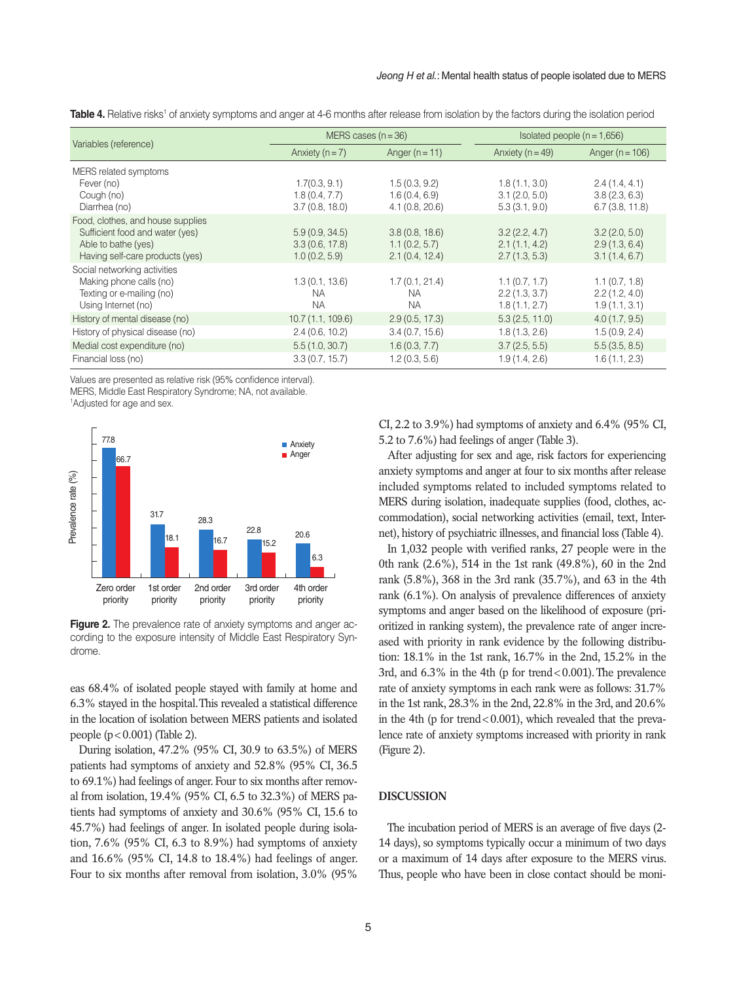**Table 4.** Relative risks<sup>1</sup> of anxiety symptoms and anger at 4-6 months after release from isolation by the factors during the isolation period

|                                                                                                                                | MERS cases $(n = 36)$                             |                                                   |                                                 | Isolated people $(n = 1.656)$                    |  |  |
|--------------------------------------------------------------------------------------------------------------------------------|---------------------------------------------------|---------------------------------------------------|-------------------------------------------------|--------------------------------------------------|--|--|
| Variables (reference)                                                                                                          | Anxiety $(n=7)$                                   | Anger $(n = 11)$                                  | Anxiety ( $n = 49$ )                            | Anger ( $n = 106$ )                              |  |  |
| MERS related symptoms                                                                                                          |                                                   |                                                   |                                                 |                                                  |  |  |
| Fever (no)<br>Cough (no)<br>Diarrhea (no)                                                                                      | 1.7(0.3, 9.1)<br>1.8(0.4, 7.7)<br>3.7(0.8, 18.0)  | 1.5(0.3, 9.2)<br>1.6(0.4, 6.9)<br>4.1(0.8, 20.6)  | 1.8(1.1, 3.0)<br>3.1(2.0, 5.0)<br>5.3(3.1, 9.0) | 2.4(1.4, 4.1)<br>3.8(2.3, 6.3)<br>6.7(3.8, 11.8) |  |  |
| Food, clothes, and house supplies<br>Sufficient food and water (yes)<br>Able to bathe (yes)<br>Having self-care products (yes) | 5.9(0.9, 34.5)<br>3.3(0.6, 17.8)<br>1.0(0.2, 5.9) | 3.8(0.8, 18.6)<br>1.1(0.2, 5.7)<br>2.1(0.4, 12.4) | 3.2(2.2, 4.7)<br>2.1(1.1, 4.2)<br>2.7(1.3, 5.3) | 3.2(2.0, 5.0)<br>2.9(1.3, 6.4)<br>3.1(1.4, 6.7)  |  |  |
| Social networking activities<br>Making phone calls (no)<br>Texting or e-mailing (no)<br>Using Internet (no)                    | 1.3(0.1, 13.6)<br>NA.<br><b>NA</b>                | 1.7(0.1, 21.4)<br>NA.<br><b>NA</b>                | 1.1(0.7, 1.7)<br>2.2(1.3, 3.7)<br>1.8(1.1, 2.7) | 1.1(0.7, 1.8)<br>2.2(1.2, 4.0)<br>1.9(1.1, 3.1)  |  |  |
| History of mental disease (no)                                                                                                 | 10.7(1.1, 109.6)                                  | 2.9(0.5, 17.3)                                    | 5.3(2.5, 11.0)                                  | 4.0(1.7, 9.5)                                    |  |  |
| History of physical disease (no)                                                                                               | 2.4(0.6, 10.2)                                    | 3.4(0.7, 15.6)                                    | 1.8(1.3, 2.6)                                   | 1.5(0.9, 2.4)                                    |  |  |
| Medial cost expenditure (no)                                                                                                   | 5.5(1.0, 30.7)                                    | 1.6(0.3, 7.7)                                     | 3.7(2.5, 5.5)                                   | 5.5(3.5, 8.5)                                    |  |  |
| Financial loss (no)                                                                                                            | 3.3(0.7, 15.7)                                    | 1.2(0.3, 5.6)                                     | 1.9(1.4, 2.6)                                   | 1.6(1.1, 2.3)                                    |  |  |

Values are presented as relative risk (95% confidence interval).

MERS, Middle East Respiratory Syndrome; NA, not available.

1 Adjusted for age and sex.



**Figure 2.** The prevalence rate of anxiety symptoms and anger according to the exposure intensity of Middle East Respiratory Syndrome.

eas 68.4% of isolated people stayed with family at home and 6.3% stayed in the hospital. This revealed a statistical difference in the location of isolation between MERS patients and isolated people  $(p<0.001)$  (Table 2).

During isolation, 47.2% (95% CI, 30.9 to 63.5%) of MERS patients had symptoms of anxiety and 52.8% (95% CI, 36.5 to 69.1%) had feelings of anger. Four to six months after removal from isolation, 19.4% (95% CI, 6.5 to 32.3%) of MERS patients had symptoms of anxiety and 30.6% (95% CI, 15.6 to 45.7%) had feelings of anger. In isolated people during isolation, 7.6% (95% CI, 6.3 to 8.9%) had symptoms of anxiety and 16.6% (95% CI, 14.8 to 18.4%) had feelings of anger. Four to six months after removal from isolation, 3.0% (95%

CI, 2.2 to 3.9%) had symptoms of anxiety and 6.4% (95% CI, 5.2 to 7.6%) had feelings of anger (Table 3).

After adjusting for sex and age, risk factors for experiencing anxiety symptoms and anger at four to six months after release included symptoms related to included symptoms related to MERS during isolation, inadequate supplies (food, clothes, accommodation), social networking activities (email, text, Internet), history of psychiatric illnesses, and financial loss (Table 4).

In 1,032 people with verified ranks, 27 people were in the 0th rank (2.6%), 514 in the 1st rank (49.8%), 60 in the 2nd rank (5.8%), 368 in the 3rd rank (35.7%), and 63 in the 4th rank (6.1%). On analysis of prevalence differences of anxiety symptoms and anger based on the likelihood of exposure (prioritized in ranking system), the prevalence rate of anger increased with priority in rank evidence by the following distribution: 18.1% in the 1st rank, 16.7% in the 2nd, 15.2% in the 3rd, and  $6.3\%$  in the 4th (p for trend < 0.001). The prevalence rate of anxiety symptoms in each rank were as follows: 31.7% in the 1st rank, 28.3% in the 2nd, 22.8% in the 3rd, and 20.6% in the 4th (p for trend  $< 0.001$ ), which revealed that the prevalence rate of anxiety symptoms increased with priority in rank (Figure 2).

# **DISCUSSION**

The incubation period of MERS is an average of five days (2- 14 days), so symptoms typically occur a minimum of two days or a maximum of 14 days after exposure to the MERS virus. Thus, people who have been in close contact should be moni-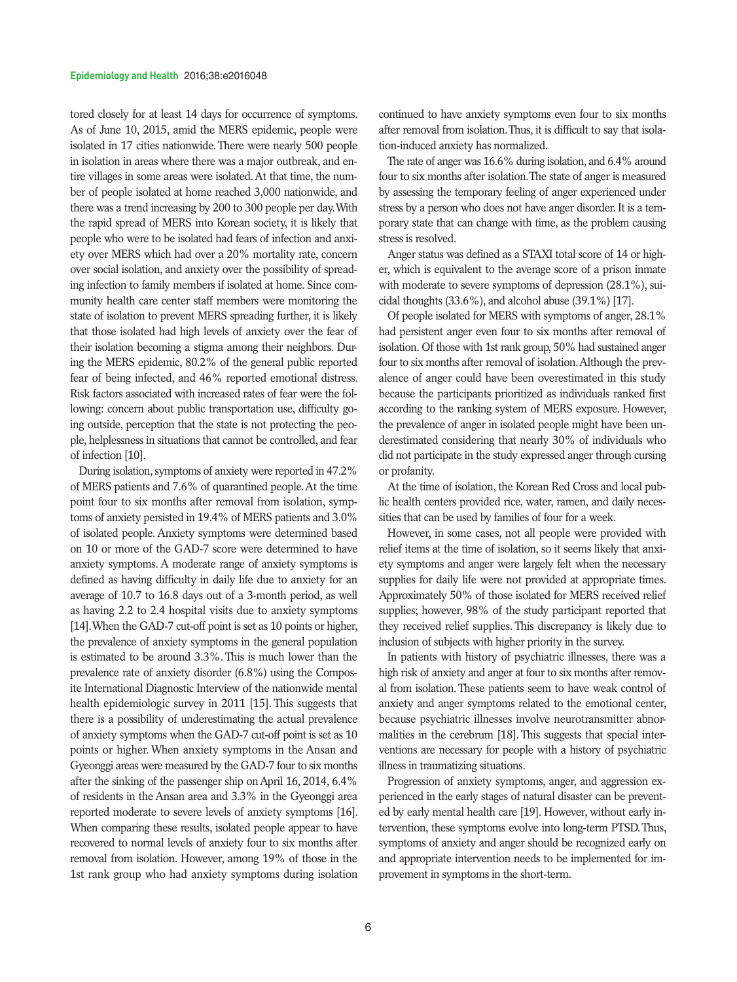tored closely for at least 14 days for occurrence of symptoms. As of June 10, 2015, amid the MERS epidemic, people were isolated in 17 cities nationwide. There were nearly 500 people in isolation in areas where there was a major outbreak, and entire villages in some areas were isolated. At that time, the number of people isolated at home reached 3,000 nationwide, and there was a trend increasing by 200 to 300 people per day. With the rapid spread of MERS into Korean society, it is likely that people who were to be isolated had fears of infection and anxiety over MERS which had over a 20% mortality rate, concern over social isolation, and anxiety over the possibility of spreading infection to family members if isolated at home. Since community health care center staff members were monitoring the state of isolation to prevent MERS spreading further, it is likely that those isolated had high levels of anxiety over the fear of their isolation becoming a stigma among their neighbors. During the MERS epidemic, 80.2% of the general public reported fear of being infected, and 46% reported emotional distress. Risk factors associated with increased rates of fear were the following: concern about public transportation use, difficulty going outside, perception that the state is not protecting the people, helplessness in situations that cannot be controlled, and fear of infection [10].

During isolation, symptoms of anxiety were reported in 47.2% of MERS patients and 7.6% of quarantined people. At the time point four to six months after removal from isolation, symptoms of anxiety persisted in 19.4% of MERS patients and 3.0% of isolated people. Anxiety symptoms were determined based on 10 or more of the GAD-7 score were determined to have anxiety symptoms. A moderate range of anxiety symptoms is defined as having difficulty in daily life due to anxiety for an average of 10.7 to 16.8 days out of a 3-month period, as well as having 2.2 to 2.4 hospital visits due to anxiety symptoms [14]. When the GAD-7 cut-off point is set as 10 points or higher, the prevalence of anxiety symptoms in the general population is estimated to be around 3.3%. This is much lower than the prevalence rate of anxiety disorder (6.8%) using the Composite International Diagnostic Interview of the nationwide mental health epidemiologic survey in 2011 [15]. This suggests that there is a possibility of underestimating the actual prevalence of anxiety symptoms when the GAD-7 cut-off point is set as 10 points or higher. When anxiety symptoms in the Ansan and Gyeonggi areas were measured by the GAD-7 four to six months after the sinking of the passenger ship on April 16, 2014, 6.4% of residents in the Ansan area and 3.3% in the Gyeonggi area reported moderate to severe levels of anxiety symptoms [16]. When comparing these results, isolated people appear to have recovered to normal levels of anxiety four to six months after removal from isolation. However, among 19% of those in the 1st rank group who had anxiety symptoms during isolation

continued to have anxiety symptoms even four to six months after removal from isolation. Thus, it is difficult to say that isolation-induced anxiety has normalized.

The rate of anger was 16.6% during isolation, and 6.4% around four to six months after isolation. The state of anger is measured by assessing the temporary feeling of anger experienced under stress by a person who does not have anger disorder. It is a temporary state that can change with time, as the problem causing stress is resolved.

Anger status was defined as a STAXI total score of 14 or higher, which is equivalent to the average score of a prison inmate with moderate to severe symptoms of depression (28.1%), suicidal thoughts (33.6%), and alcohol abuse (39.1%) [17].

Of people isolated for MERS with symptoms of anger, 28.1% had persistent anger even four to six months after removal of isolation. Of those with 1st rank group, 50% had sustained anger four to six months after removal of isolation. Although the prevalence of anger could have been overestimated in this study because the participants prioritized as individuals ranked first according to the ranking system of MERS exposure. However, the prevalence of anger in isolated people might have been underestimated considering that nearly 30% of individuals who did not participate in the study expressed anger through cursing or profanity.

At the time of isolation, the Korean Red Cross and local public health centers provided rice, water, ramen, and daily necessities that can be used by families of four for a week.

However, in some cases, not all people were provided with relief items at the time of isolation, so it seems likely that anxiety symptoms and anger were largely felt when the necessary supplies for daily life were not provided at appropriate times. Approximately 50% of those isolated for MERS received relief supplies; however, 98% of the study participant reported that they received relief supplies. This discrepancy is likely due to inclusion of subjects with higher priority in the survey.

In patients with history of psychiatric illnesses, there was a high risk of anxiety and anger at four to six months after removal from isolation. These patients seem to have weak control of anxiety and anger symptoms related to the emotional center, because psychiatric illnesses involve neurotransmitter abnormalities in the cerebrum [18]. This suggests that special interventions are necessary for people with a history of psychiatric illness in traumatizing situations.

Progression of anxiety symptoms, anger, and aggression experienced in the early stages of natural disaster can be prevented by early mental health care [19]. However, without early intervention, these symptoms evolve into long-term PTSD. Thus, symptoms of anxiety and anger should be recognized early on and appropriate intervention needs to be implemented for improvement in symptoms in the short-term.